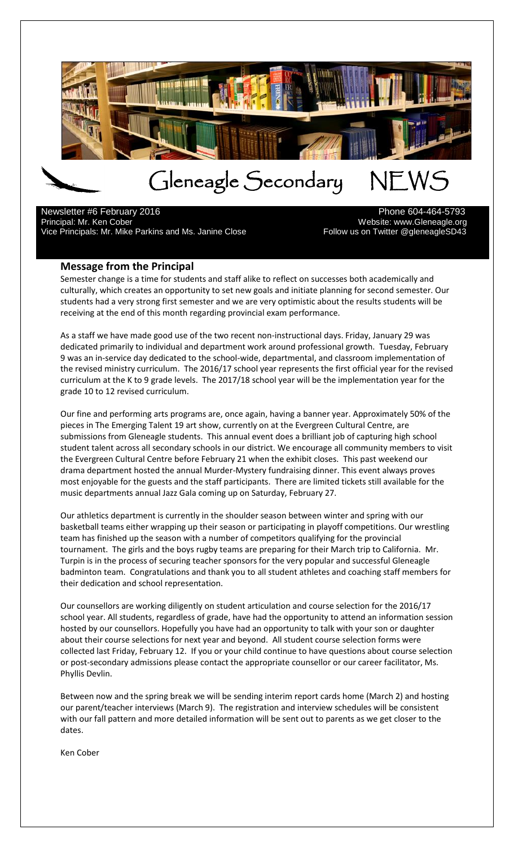

l Newsletter #6 February 2016 **Phone 604-464-5793** Principal: Mr. Ken Cober<br>13-Vice Principals: Mr. Mike Parkins and Ms. Janine Close Websour Medicion of Sollow us on Twitter @gleneagle Vice Principals: Mr. Mike Parkins and Ms. Janine Close

## **Message from the Principal**

Semester change is a time for students and staff alike to reflect on successes both academically and culturally, which creates an opportunity to set new goals and initiate planning for second semester. Our students had a very strong first semester and we are very optimistic about the results students will be receiving at the end of this month regarding provincial exam performance.

As a staff we have made good use of the two recent non-instructional days. Friday, January 29 was dedicated primarily to individual and department work around professional growth. Tuesday, February 9 was an in-service day dedicated to the school-wide, departmental, and classroom implementation of the revised ministry curriculum. The 2016/17 school year represents the first official year for the revised curriculum at the K to 9 grade levels. The 2017/18 school year will be the implementation year for the grade 10 to 12 revised curriculum.

Our fine and performing arts programs are, once again, having a banner year. Approximately 50% of the pieces in The Emerging Talent 19 art show, currently on at the Evergreen Cultural Centre, are submissions from Gleneagle students. This annual event does a brilliant job of capturing high school student talent across all secondary schools in our district. We encourage all community members to visit the Evergreen Cultural Centre before February 21 when the exhibit closes. This past weekend our drama department hosted the annual Murder-Mystery fundraising dinner. This event always proves most enjoyable for the guests and the staff participants. There are limited tickets still available for the music departments annual Jazz Gala coming up on Saturday, February 27.

Our athletics department is currently in the shoulder season between winter and spring with our basketball teams either wrapping up their season or participating in playoff competitions. Our wrestling team has finished up the season with a number of competitors qualifying for the provincial tournament. The girls and the boys rugby teams are preparing for their March trip to California. Mr. Turpin is in the process of securing teacher sponsors for the very popular and successful Gleneagle badminton team. Congratulations and thank you to all student athletes and coaching staff members for their dedication and school representation.

Our counsellors are working diligently on student articulation and course selection for the 2016/17 school year. All students, regardless of grade, have had the opportunity to attend an information session hosted by our counsellors. Hopefully you have had an opportunity to talk with your son or daughter about their course selections for next year and beyond. All student course selection forms were collected last Friday, February 12. If you or your child continue to have questions about course selection or post-secondary admissions please contact the appropriate counsellor or our career facilitator, Ms. Phyllis Devlin.

Between now and the spring break we will be sending interim report cards home (March 2) and hosting our parent/teacher interviews (March 9). The registration and interview schedules will be consistent with our fall pattern and more detailed information will be sent out to parents as we get closer to the dates.

Ken Cober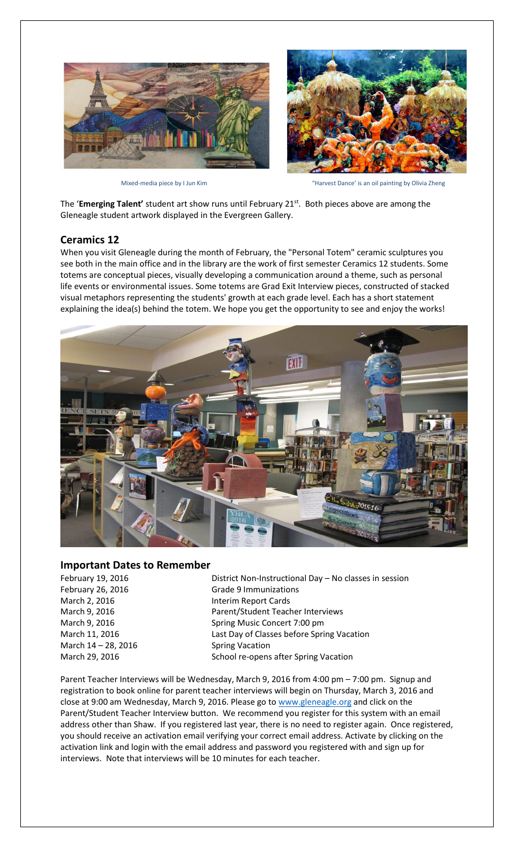



Mixed-media piece by I Jun Kim Thanking of The State of the Harvest Dance' is an oil painting by Olivia Zheng

The 'Emerging Talent' student art show runs until February 21<sup>st</sup>. Both pieces above are among the Gleneagle student artwork displayed in the Evergreen Gallery.

### **Ceramics 12**

When you visit Gleneagle during the month of February, the "Personal Totem" ceramic sculptures you see both in the main office and in the library are the work of first semester Ceramics 12 students. Some totems are conceptual pieces, visually developing a communication around a theme, such as personal life events or environmental issues. Some totems are Grad Exit Interview pieces, constructed of stacked visual metaphors representing the students' growth at each grade level. Each has a short statement explaining the idea(s) behind the totem. We hope you get the opportunity to see and enjoy the works!



#### **Important Dates to Remember**

March 2, 2016 **Interim Report Cards** March 14 – 28, 2016 Spring Vacation

February 19, 2016 **District Non-Instructional Day – No classes in session** February 26, 2016 **Grade 9 Immunizations** March 9, 2016 **Parent/Student Teacher Interviews** March 9, 2016 **Spring Music Concert 7:00 pm** March 11, 2016 Last Day of Classes before Spring Vacation March 29, 2016 School re-opens after Spring Vacation

Parent Teacher Interviews will be Wednesday, March 9, 2016 from 4:00 pm – 7:00 pm. Signup and registration to book online for parent teacher interviews will begin on Thursday, March 3, 2016 and close at 9:00 am Wednesday, March 9, 2016. Please go t[o www.gleneagle.org](http://www.gleneagle.org/) and click on the Parent/Student Teacher Interview button. We recommend you register for this system with an email address other than Shaw. If you registered last year, there is no need to register again. Once registered, you should receive an activation email verifying your correct email address. Activate by clicking on the activation link and login with the email address and password you registered with and sign up for interviews. Note that interviews will be 10 minutes for each teacher.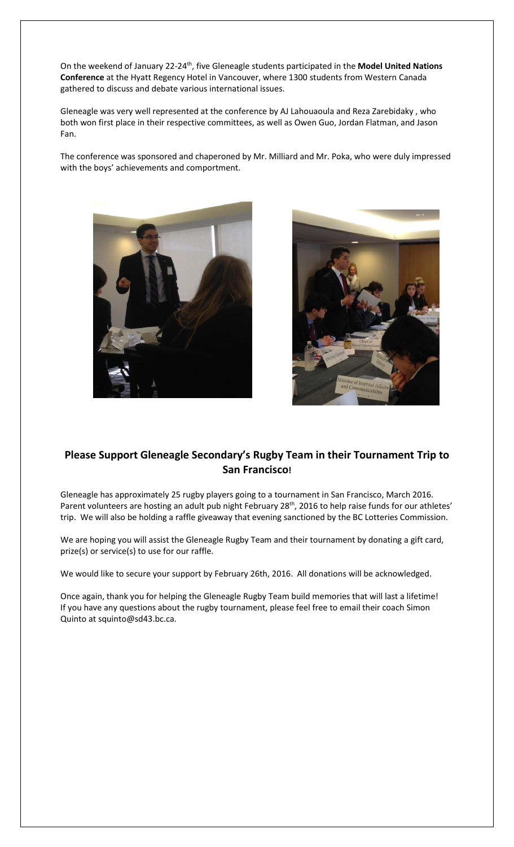On the weekend of January 22-24th, five Gleneagle students participated in the **Model United Nations Conference** at the Hyatt Regency Hotel in Vancouver, where 1300 students from Western Canada gathered to discuss and debate various international issues.

Gleneagle was very well represented at the conference by AJ Lahouaoula and Reza Zarebidaky , who both won first place in their respective committees, as well as Owen Guo, Jordan Flatman, and Jason Fan.

The conference was sponsored and chaperoned by Mr. Milliard and Mr. Poka, who were duly impressed with the boys' achievements and comportment.





## **Please Support Gleneagle Secondary's Rugby Team in their Tournament Trip to San Francisco!**

Gleneagle has approximately 25 rugby players going to a tournament in San Francisco, March 2016. Parent volunteers are hosting an adult pub night February 28<sup>th</sup>, 2016 to help raise funds for our athletes' trip. We will also be holding a raffle giveaway that evening sanctioned by the BC Lotteries Commission.

We are hoping you will assist the Gleneagle Rugby Team and their tournament by donating a gift card, prize(s) or service(s) to use for our raffle.

We would like to secure your support by February 26th, 2016. All donations will be acknowledged.

Once again, thank you for helping the Gleneagle Rugby Team build memories that will last a lifetime! If you have any questions about the rugby tournament, please feel free to email their coach Simon Quinto at squinto@sd43.bc.ca.